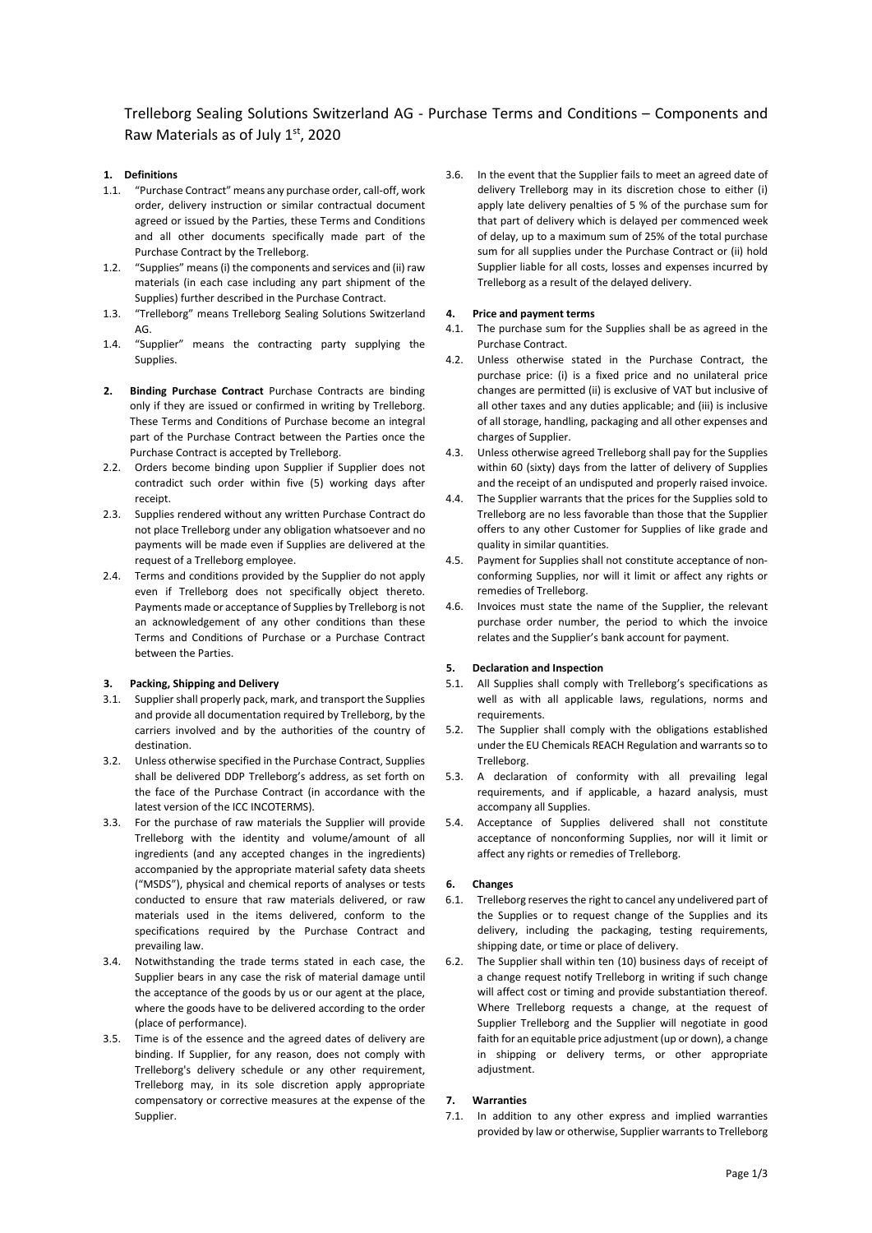Trelleborg Sealing Solutions Switzerland AG - Purchase Terms and Conditions – Components and Raw Materials as of July 1st, 2020

# **1. Definitions**

- 1.1. "Purchase Contract" means any purchase order, call-off, work order, delivery instruction or similar contractual document agreed or issued by the Parties, these Terms and Conditions and all other documents specifically made part of the Purchase Contract by the Trelleborg.
- 1.2. "Supplies" means (i) the components and services and (ii) raw materials (in each case including any part shipment of the Supplies) further described in the Purchase Contract.
- 1.3. "Trelleborg" means Trelleborg Sealing Solutions Switzerland AG.
- 1.4. "Supplier" means the contracting party supplying the Supplies.
- **2. Binding Purchase Contract** Purchase Contracts are binding only if they are issued or confirmed in writing by Trelleborg. These Terms and Conditions of Purchase become an integral part of the Purchase Contract between the Parties once the Purchase Contract is accepted by Trelleborg.
- 2.2. Orders become binding upon Supplier if Supplier does not contradict such order within five (5) working days after receipt.
- 2.3. Supplies rendered without any written Purchase Contract do not place Trelleborg under any obligation whatsoever and no payments will be made even if Supplies are delivered at the request of a Trelleborg employee.
- 2.4. Terms and conditions provided by the Supplier do not apply even if Trelleborg does not specifically object thereto. Payments made or acceptance of Supplies by Trelleborg is not an acknowledgement of any other conditions than these Terms and Conditions of Purchase or a Purchase Contract between the Parties.

## **3. Packing, Shipping and Delivery**

- 3.1. Supplier shall properly pack, mark, and transport the Supplies and provide all documentation required by Trelleborg, by the carriers involved and by the authorities of the country of destination.
- 3.2. Unless otherwise specified in the Purchase Contract, Supplies shall be delivered DDP Trelleborg's address, as set forth on the face of the Purchase Contract (in accordance with the latest version of the ICC INCOTERMS).
- 3.3. For the purchase of raw materials the Supplier will provide Trelleborg with the identity and volume/amount of all ingredients (and any accepted changes in the ingredients) accompanied by the appropriate material safety data sheets ("MSDS"), physical and chemical reports of analyses or tests conducted to ensure that raw materials delivered, or raw materials used in the items delivered, conform to the specifications required by the Purchase Contract and prevailing law.
- 3.4. Notwithstanding the trade terms stated in each case, the Supplier bears in any case the risk of material damage until the acceptance of the goods by us or our agent at the place, where the goods have to be delivered according to the order (place of performance).
- 3.5. Time is of the essence and the agreed dates of delivery are binding. If Supplier, for any reason, does not comply with Trelleborg's delivery schedule or any other requirement, Trelleborg may, in its sole discretion apply appropriate compensatory or corrective measures at the expense of the Supplier.

3.6. In the event that the Supplier fails to meet an agreed date of delivery Trelleborg may in its discretion chose to either (i) apply late delivery penalties of 5 % of the purchase sum for that part of delivery which is delayed per commenced week of delay, up to a maximum sum of 25% of the total purchase sum for all supplies under the Purchase Contract or (ii) hold Supplier liable for all costs, losses and expenses incurred by Trelleborg as a result of the delayed delivery.

## **4. Price and payment terms**

- 4.1. The purchase sum for the Supplies shall be as agreed in the Purchase Contract.
- 4.2. Unless otherwise stated in the Purchase Contract, the purchase price: (i) is a fixed price and no unilateral price changes are permitted (ii) is exclusive of VAT but inclusive of all other taxes and any duties applicable; and (iii) is inclusive of all storage, handling, packaging and all other expenses and charges of Supplier.
- 4.3. Unless otherwise agreed Trelleborg shall pay for the Supplies within 60 (sixty) days from the latter of delivery of Supplies and the receipt of an undisputed and properly raised invoice.
- 4.4. The Supplier warrants that the prices for the Supplies sold to Trelleborg are no less favorable than those that the Supplier offers to any other Customer for Supplies of like grade and quality in similar quantities.
- 4.5. Payment for Supplies shall not constitute acceptance of nonconforming Supplies, nor will it limit or affect any rights or remedies of Trelleborg.
- 4.6. Invoices must state the name of the Supplier, the relevant purchase order number, the period to which the invoice relates and the Supplier's bank account for payment.

# **5. Declaration and Inspection**

- 5.1. All Supplies shall comply with Trelleborg's specifications as well as with all applicable laws, regulations, norms and requirements.
- 5.2. The Supplier shall comply with the obligations established under the EU Chemicals REACH Regulation and warrants so to Trelleborg.
- 5.3. A declaration of conformity with all prevailing legal requirements, and if applicable, a hazard analysis, must accompany all Supplies.
- 5.4. Acceptance of Supplies delivered shall not constitute acceptance of nonconforming Supplies, nor will it limit or affect any rights or remedies of Trelleborg.

# **6. Changes**

- 6.1. Trelleborg reserves the right to cancel any undelivered part of the Supplies or to request change of the Supplies and its delivery, including the packaging, testing requirements, shipping date, or time or place of delivery.
- 6.2. The Supplier shall within ten (10) business days of receipt of a change request notify Trelleborg in writing if such change will affect cost or timing and provide substantiation thereof. Where Trelleborg requests a change, at the request of Supplier Trelleborg and the Supplier will negotiate in good faith for an equitable price adjustment (up or down), a change in shipping or delivery terms, or other appropriate adiustment.

# **7. Warranties**

7.1. In addition to any other express and implied warranties provided by law or otherwise, Supplier warrants to Trelleborg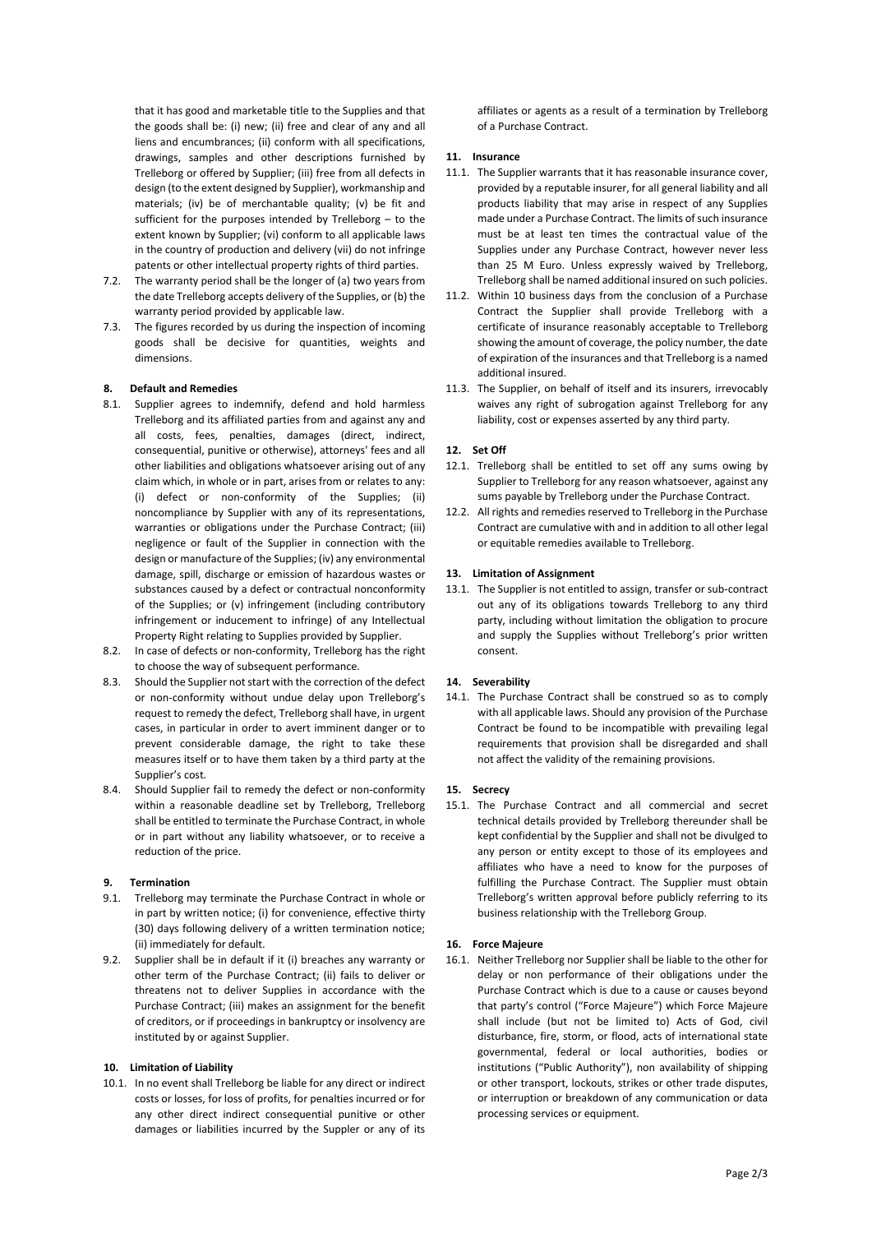that it has good and marketable title to the Supplies and that the goods shall be: (i) new; (ii) free and clear of any and all liens and encumbrances; (ii) conform with all specifications, drawings, samples and other descriptions furnished by Trelleborg or offered by Supplier; (iii) free from all defects in design (to the extent designed by Supplier), workmanship and materials; (iv) be of merchantable quality; (v) be fit and sufficient for the purposes intended by Trelleborg – to the extent known by Supplier; (vi) conform to all applicable laws in the country of production and delivery (vii) do not infringe patents or other intellectual property rights of third parties.

- 7.2. The warranty period shall be the longer of (a) two years from the date Trelleborg accepts delivery of the Supplies, or (b) the warranty period provided by applicable law.
- 7.3. The figures recorded by us during the inspection of incoming goods shall be decisive for quantities, weights and dimensions.

## **8. Default and Remedies**

- 8.1. Supplier agrees to indemnify, defend and hold harmless Trelleborg and its affiliated parties from and against any and all costs, fees, penalties, damages (direct, indirect, consequential, punitive or otherwise), attorneys' fees and all other liabilities and obligations whatsoever arising out of any claim which, in whole or in part, arises from or relates to any: (i) defect or non-conformity of the Supplies; (ii) noncompliance by Supplier with any of its representations, warranties or obligations under the Purchase Contract: (iii) negligence or fault of the Supplier in connection with the design or manufacture of the Supplies; (iv) any environmental damage, spill, discharge or emission of hazardous wastes or substances caused by a defect or contractual nonconformity of the Supplies; or (v) infringement (including contributory infringement or inducement to infringe) of any Intellectual Property Right relating to Supplies provided by Supplier.
- 8.2. In case of defects or non-conformity, Trelleborg has the right to choose the way of subsequent performance.
- 8.3. Should the Supplier not start with the correction of the defect or non-conformity without undue delay upon Trelleborg's request to remedy the defect, Trelleborg shall have, in urgent cases, in particular in order to avert imminent danger or to prevent considerable damage, the right to take these measures itself or to have them taken by a third party at the Supplier's cost.
- 8.4. Should Supplier fail to remedy the defect or non-conformity within a reasonable deadline set by Trelleborg, Trelleborg shall be entitled to terminate the Purchase Contract, in whole or in part without any liability whatsoever, or to receive a reduction of the price.

#### **9. Termination**

- 9.1. Trelleborg may terminate the Purchase Contract in whole or in part by written notice; (i) for convenience, effective thirty (30) days following delivery of a written termination notice; (ii) immediately for default.
- 9.2. Supplier shall be in default if it (i) breaches any warranty or other term of the Purchase Contract; (ii) fails to deliver or threatens not to deliver Supplies in accordance with the Purchase Contract; (iii) makes an assignment for the benefit of creditors, or if proceedings in bankruptcy or insolvency are instituted by or against Supplier.

#### **10. Limitation of Liability**

10.1. In no event shall Trelleborg be liable for any direct or indirect costs or losses, for loss of profits, for penalties incurred or for any other direct indirect consequential punitive or other damages or liabilities incurred by the Suppler or any of its

affiliates or agents as a result of a termination by Trelleborg of a Purchase Contract.

### **11. Insurance**

- 11.1. The Supplier warrants that it has reasonable insurance cover, provided by a reputable insurer, for all general liability and all products liability that may arise in respect of any Supplies made under a Purchase Contract. The limits of such insurance must be at least ten times the contractual value of the Supplies under any Purchase Contract, however never less than 25 M Euro. Unless expressly waived by Trelleborg, Trelleborg shall be named additional insured on such policies.
- 11.2. Within 10 business days from the conclusion of a Purchase Contract the Supplier shall provide Trelleborg with a certificate of insurance reasonably acceptable to Trelleborg showing the amount of coverage, the policy number, the date of expiration of the insurances and that Trelleborg is a named additional insured.
- 11.3. The Supplier, on behalf of itself and its insurers, irrevocably waives any right of subrogation against Trelleborg for any liability, cost or expenses asserted by any third party.

## **12. Set Off**

- 12.1. Trelleborg shall be entitled to set off any sums owing by Supplier to Trelleborg for any reason whatsoever, against any sums payable by Trelleborg under the Purchase Contract.
- 12.2. All rights and remedies reserved to Trelleborg in the Purchase Contract are cumulative with and in addition to all other legal or equitable remedies available to Trelleborg.

## **13. Limitation of Assignment**

13.1. The Supplier is not entitled to assign, transfer or sub-contract out any of its obligations towards Trelleborg to any third party, including without limitation the obligation to procure and supply the Supplies without Trelleborg's prior written consent.

### **14. Severability**

14.1. The Purchase Contract shall be construed so as to comply with all applicable laws. Should any provision of the Purchase Contract be found to be incompatible with prevailing legal requirements that provision shall be disregarded and shall not affect the validity of the remaining provisions.

#### **15. Secrecy**

15.1. The Purchase Contract and all commercial and secret technical details provided by Trelleborg thereunder shall be kept confidential by the Supplier and shall not be divulged to any person or entity except to those of its employees and affiliates who have a need to know for the purposes of fulfilling the Purchase Contract. The Supplier must obtain Trelleborg's written approval before publicly referring to its business relationship with the Trelleborg Group.

#### **16. Force Majeure**

16.1. Neither Trelleborg nor Supplier shall be liable to the other for delay or non performance of their obligations under the Purchase Contract which is due to a cause or causes beyond that party's control ("Force Majeure") which Force Majeure shall include (but not be limited to) Acts of God, civil disturbance, fire, storm, or flood, acts of international state governmental, federal or local authorities, bodies or institutions ("Public Authority"), non availability of shipping or other transport, lockouts, strikes or other trade disputes, or interruption or breakdown of any communication or data processing services or equipment.